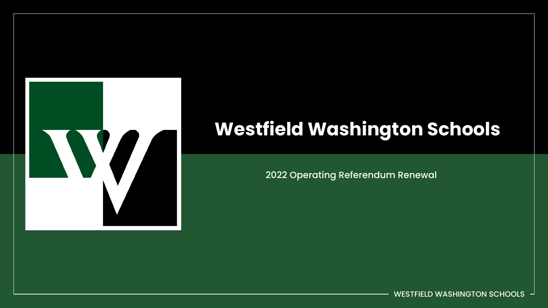

## **Westfield Washington Schools**

2022 Operating Referendum Renewal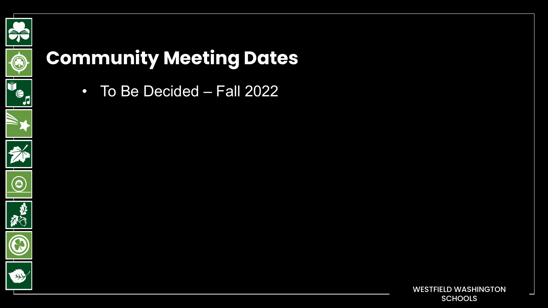

## **Community Meeting Dates**

• To Be Decided – Fall 2022

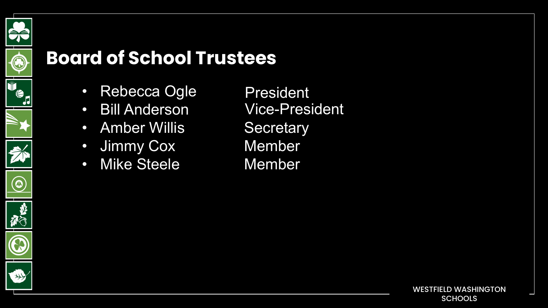

#### **Board of School Trustees**

- Rebecca Ogle
- Bill Anderson
- Amber Willis Secretary
- Jimmy Cox Member
- Mike Steele Member

President Vice-President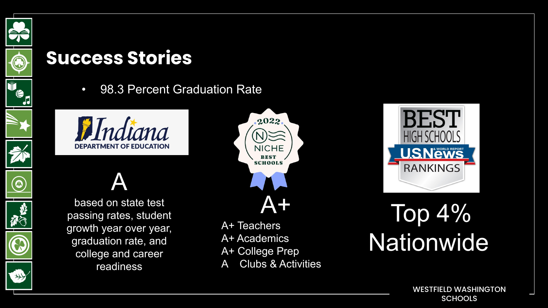

• 98.3 Percent Graduation Rate



## A



based on state test passing rates, student growth year over year, graduation rate, and college and career readiness



A+ Teachers A+ Academics A+ College Prep





# Top 4% **Nationwide**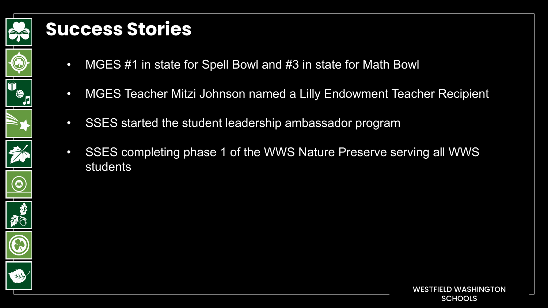

- MGES #1 in state for Spell Bowl and #3 in state for Math Bowl
- MGES Teacher Mitzi Johnson named a Lilly Endowment Teacher Recipient
- SSES started the student leadership ambassador program
- SSES completing phase 1 of the WWS Nature Preserve serving all WWS students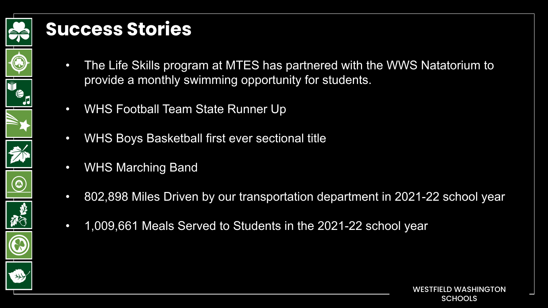

- The Life Skills program at MTES has partnered with the WWS Natatorium to provide a monthly swimming opportunity for students.
- WHS Football Team State Runner Up
- WHS Boys Basketball first ever sectional title
- WHS Marching Band
- 802,898 Miles Driven by our transportation department in 2021-22 school year
- 1,009,661 Meals Served to Students in the 2021-22 school year

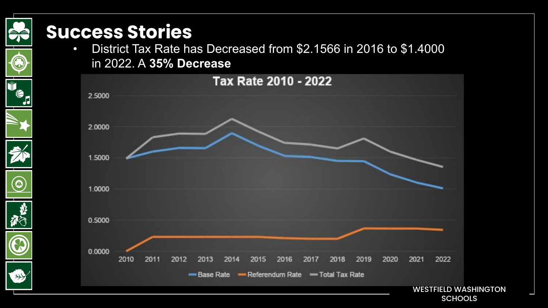O

 $\circledcirc$ 

• District Tax Rate has Decreased from \$2.1566 in 2016 to \$1.4000 in 2022. A **35% Decrease**



**SCHOOLS**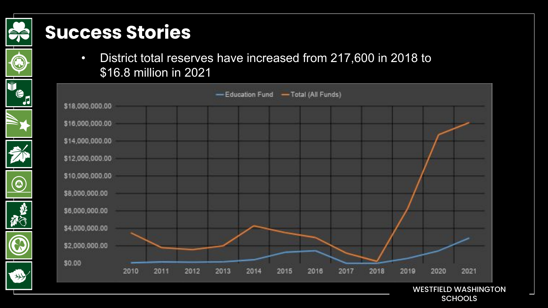**BE** 

 $\bigcirc$ 

 $\circledcirc$ 

移行

 $\mathbb{G}% _{n}^{X}$ 

Ŭ '€<br>D • District total reserves have increased from 217,600 in 2018 to \$16.8 million in 2021



WESTFIELD WASHINGTON **SCHOOLS**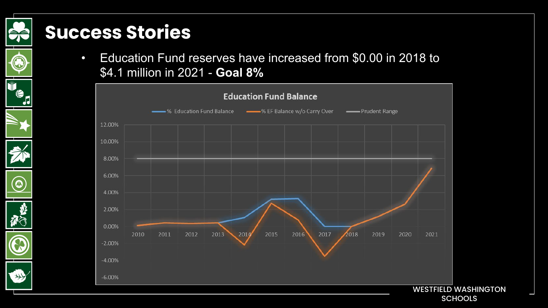C

 $\circledcirc$ 

• Education Fund reserves have increased from \$0.00 in 2018 to \$4.1 million in 2021 - **Goal 8%**

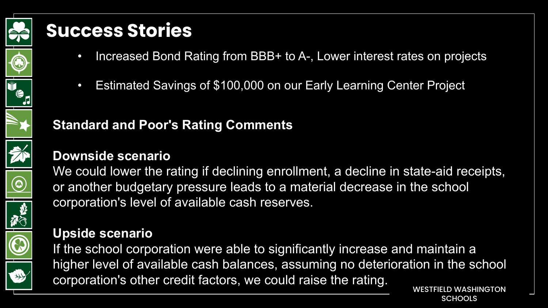

- Increased Bond Rating from BBB+ to A-, Lower interest rates on projects
- Estimated Savings of \$100,000 on our Early Learning Center Project

**Downside scenario** 

**Standard and Poor's Rating Comments**

We could lower the rating if declining enrollment, a decline in state-aid receipts, or another budgetary pressure leads to a material decrease in the school corporation's level of available cash reserves.

#### **Upside scenario**

If the school corporation were able to significantly increase and maintain a higher level of available cash balances, assuming no deterioration in the school corporation's other credit factors, we could raise the rating.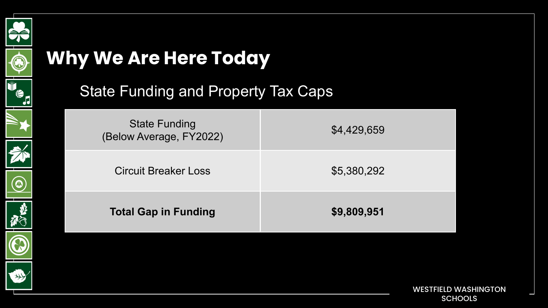

## **Why We Are Here Today**



 $\circledcirc$ 

#### State Funding and Property Tax Caps

| <b>State Funding</b><br>(Below Average, FY2022) | \$4,429,659 |
|-------------------------------------------------|-------------|
| <b>Circuit Breaker Loss</b>                     | \$5,380,292 |
| <b>Total Gap in Funding</b>                     | \$9,809,951 |

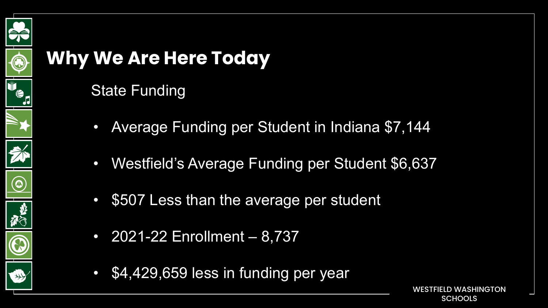

## **Why We Are Here Today**

#### State Funding

- Average Funding per Student in Indiana \$7,144
- Westfield's Average Funding per Student \$6,637
- \$507 Less than the average per student
- 2021-22 Enrollment 8,737
- \$4,429,659 less in funding per year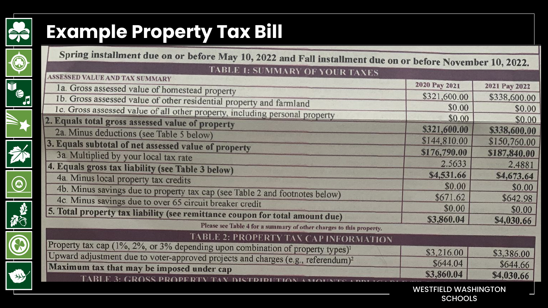





## 、<br>「から



# E

## **Example Property Tax Bill**

| Spring installment due on or before May 10, 2022 and Fall installment due on or before November 10, 2022. |                                               |               |
|-----------------------------------------------------------------------------------------------------------|-----------------------------------------------|---------------|
| <b>TABLE 1: SUMMARY OF YOUR TAXES</b>                                                                     |                                               |               |
| <b>ASSESSED VALUE AND TAX SUMMARY</b>                                                                     | 2020 Pay 2021                                 |               |
| 1a. Gross assessed value of homestead property                                                            |                                               | 2021 Pay 2022 |
| 1b. Gross assessed value of other residential property and farmland                                       | \$321,600.00                                  | \$338,600.00  |
| 1c. Gross assessed value of all other property, including personal property                               | \$0.00                                        | \$0.00        |
| 2. Equals total gross assessed value of property                                                          | \$0.00                                        | \$0.00        |
| 2a. Minus deductions (see Table 5 below)                                                                  | \$321,600.00                                  | \$338,600.00  |
| 3. Equals subtotal of net assessed value of property                                                      | \$144,810.00                                  | \$150,760.00  |
| 3a. Multiplied by your local tax rate                                                                     | \$176,790.00                                  | \$187,840.00  |
|                                                                                                           | 2.5633                                        | 2.4881        |
| 4. Equals gross tax liability (see Table 3 below)                                                         | \$4,531.66                                    | \$4,673.64    |
| 4a. Minus local property tax credits                                                                      | \$0.00                                        | \$0.00        |
| 4b. Minus savings due to property tax cap (see Table 2 and footnotes below)                               | \$671.62                                      | \$642.98      |
| 4c. Minus savings due to over 65 circuit breaker credit                                                   | \$0.00                                        |               |
| 5. Total property tax liability (see remittance coupon for total amount due)                              |                                               | \$0.00        |
| Please see Table 4 for a summary of other charges to this property.                                       | \$3,860.04                                    | \$4,030.66    |
| <b>TABLE 2: PROPERTY TAX CAP INFORMATION</b>                                                              |                                               |               |
| Property tax cap (1%, 2%, or 3% depending upon combination of property types) <sup>1</sup>                |                                               |               |
| Upward adjustment due to voter-approved projects and charges (e.g., referendum) <sup>2</sup>              | \$3,216.00                                    | \$3,386.00    |
| Maximum tax that may be imposed under cap                                                                 | \$644.04                                      | \$644.66      |
| <b>3. GROSS PROPE</b>                                                                                     | \$3,860.04                                    | \$4,030.66    |
|                                                                                                           |                                               |               |
|                                                                                                           | <b>WESTFIELD WASHINGTON</b><br><b>SCHOOLS</b> |               |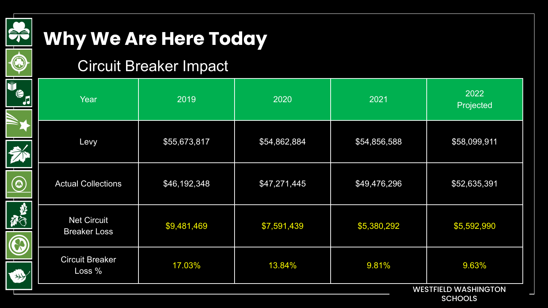

E.

 $\boxed{\widehat{\odot}}$ 

G

## **Why We Are Here Today**

#### Circuit Breaker Impact

| Year                                      | 2019         | 2020         | 2021         | 2022<br>Projected |  |
|-------------------------------------------|--------------|--------------|--------------|-------------------|--|
| Levy                                      | \$55,673,817 | \$54,862,884 | \$54,856,588 | \$58,099,911      |  |
| <b>Actual Collections</b>                 | \$46,192,348 | \$47,271,445 | \$49,476,296 | \$52,635,391      |  |
| <b>Net Circuit</b><br><b>Breaker Loss</b> | \$9,481,469  | \$7,591,439  | \$5,380,292  | \$5,592,990       |  |
| <b>Circuit Breaker</b><br>Loss %          | 17.03%       | 13.84%       | 9.81%        | 9.63%             |  |
| <b>WESTFIELD WASHINGTON</b>               |              |              |              |                   |  |

**SCHOOLS**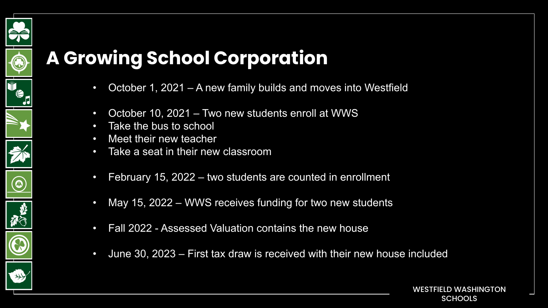## **A Growing School Corporation**

- October 1, 2021 A new family builds and moves into Westfield
- October 10, 2021 Two new students enroll at WWS
- Take the bus to school
- Meet their new teacher

 $\circledcirc$ 

- Take a seat in their new classroom
- February 15, 2022 two students are counted in enrollment
- May 15, 2022 WWS receives funding for two new students
- Fall 2022 Assessed Valuation contains the new house
- June 30, 2023 First tax draw is received with their new house included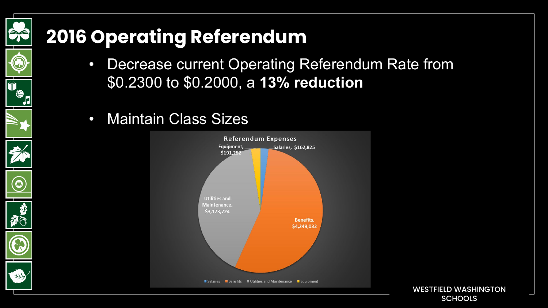## **2016 Operating Referendum**

- Decrease current Operating Referendum Rate from \$0.2300 to \$0.2000, a **13% reduction**
- Maintain Class Sizes

 $\widehat{\bm{\omega}}$ 



WESTFIELD WASHINGTON **SCHOOLS**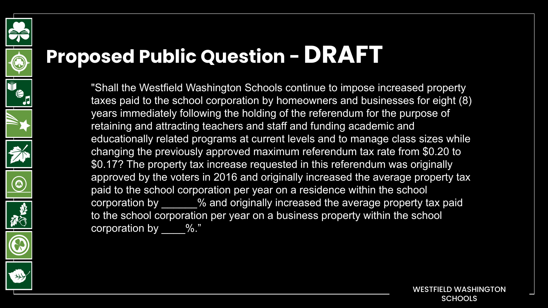

## **Proposed Public Question - DRAFT**

"Shall the Westfield Washington Schools continue to impose increased property taxes paid to the school corporation by homeowners and businesses for eight (8) years immediately following the holding of the referendum for the purpose of retaining and attracting teachers and staff and funding academic and educationally related programs at current levels and to manage class sizes while changing the previously approved maximum referendum tax rate from \$0.20 to \$0.17? The property tax increase requested in this referendum was originally approved by the voters in 2016 and originally increased the average property tax paid to the school corporation per year on a residence within the school corporation by  $\overline{\phantom{a}}$  % and originally increased the average property tax paid to the school corporation per year on a business property within the school corporation by  $\frac{1}{2}$ %."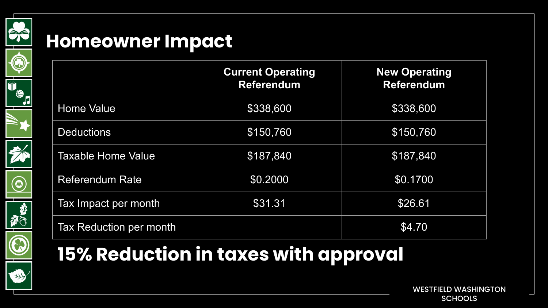

#### **Homeowner Impact**

|                           | <b>Current Operating</b><br><b>Referendum</b> | <b>New Operating</b><br><b>Referendum</b> |
|---------------------------|-----------------------------------------------|-------------------------------------------|
| <b>Home Value</b>         | \$338,600                                     | \$338,600                                 |
| <b>Deductions</b>         | \$150,760                                     | \$150,760                                 |
| <b>Taxable Home Value</b> | \$187,840                                     | \$187,840                                 |
| <b>Referendum Rate</b>    | \$0.2000                                      | \$0.1700                                  |
| Tax Impact per month      | \$31.31                                       | \$26.61                                   |
| Tax Reduction per month   |                                               | \$4.70                                    |

## **15% Reduction in taxes with approval**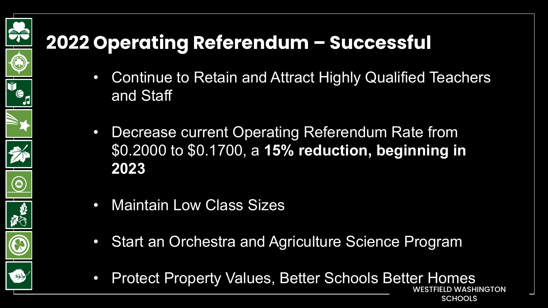## **2022 Operating Referendum – Successful**

- Continue to Retain and Attract Highly Qualified Teachers and Staff
- Decrease current Operating Referendum Rate from \$0.2000 to \$0.1700, a **15% reduction, beginning in 2023**
- Maintain Low Class Sizes

PÉ

 $\bigcirc$ 

 $\circledcirc$ 

 $\bigcirc$ 

- Start an Orchestra and Agriculture Science Program
- LD WASHINGTON • Protect Property Values, Better Schools Better Homes

**SCHOOLS**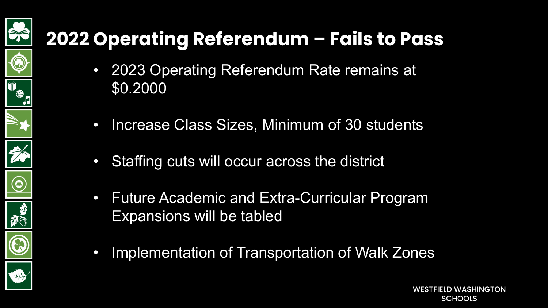## **2022 Operating Referendum – Fails to Pass**

DÉ

◉

 $\circledcirc$ 

- 2023 Operating Referendum Rate remains at \$0.2000
- Increase Class Sizes, Minimum of 30 students
- Staffing cuts will occur across the district
- Future Academic and Extra-Curricular Program Expansions will be tabled
- Implementation of Transportation of Walk Zones